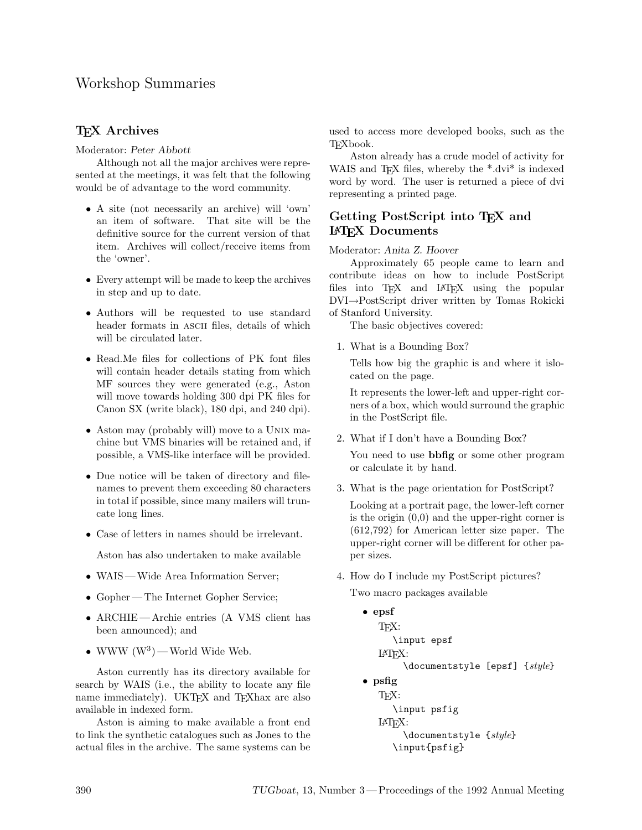# Workshop Summaries

## **TEX Archives**

Moderator: *Peter Abbott*

Although not all the major archives were represented at the meetings, it was felt that the following would be of advantage to the word community.

- A site (not necessarily an archive) will 'own' an item of software. That site will be the definitive source for the current version of that item. Archives will collect/receive items from the 'owner'.
- Every attempt will be made to keep the archives in step and up to date.
- Authors will be requested to use standard header formats in ASCII files, details of which will be circulated later.
- Read.Me files for collections of PK font files will contain header details stating from which MF sources they were generated (e.g., Aston will move towards holding 300 dpi PK files for Canon SX (write black), 180 dpi, and 240 dpi).
- Aston may (probably will) move to a UNIX machine but VMS binaries will be retained and, if possible, a VMS-like interface will be provided.
- Due notice will be taken of directory and filenames to prevent them exceeding 80 characters in total if possible, since many mailers will truncate long lines.
- Case of letters in names should be irrelevant.

Aston has also undertaken to make available

- WAIS Wide Area Information Server;
- Gopher—The Internet Gopher Service;
- ARCHIE Archie entries (A VMS client has been announced); and
- WWW  $(W^3)$  World Wide Web.

Aston currently has its directory available for search by WAIS (i.e., the ability to locate any file name immediately). UKTEX and TEXhax are also available in indexed form.

Aston is aiming to make available a front end to link the synthetic catalogues such as Jones to the actual files in the archive. The same systems can be

used to access more developed books, such as the TEXbook.

Aston already has a crude model of activity for WAIS and T<sub>E</sub>X files, whereby the  $*$ .dvi $*$  is indexed word by word. The user is returned a piece of dvi representing a printed page.

# **Getting PostScript into TEX and LATEX Documents**

#### Moderator: *Anita Z. Hoover*

Approximately 65 people came to learn and contribute ideas on how to include PostScript files into TEX and LATEX using the popular DVI→PostScript driver written by Tomas Rokicki of Stanford University.

The basic objectives covered:

1. What is a Bounding Box?

Tells how big the graphic is and where it islocated on the page.

It represents the lower-left and upper-right corners of a box, which would surround the graphic in the PostScript file.

2. What if I don't have a Bounding Box?

You need to use **bbfig** or some other program or calculate it by hand.

3. What is the page orientation for PostScript?

Looking at a portrait page, the lower-left corner is the origin  $(0,0)$  and the upper-right corner is (612,792) for American letter size paper. The upper-right corner will be different for other paper sizes.

4. How do I include my PostScript pictures?

Two macro packages available

```
• epsf
   TEX:
      \input epsf
   LATEX:
        \documentstyle [epsf] {style}
• psfig
   T<sub>F</sub>X:
      \input psfig
   LATEX:
        \documentstyle {style}
      \input{psfig}
```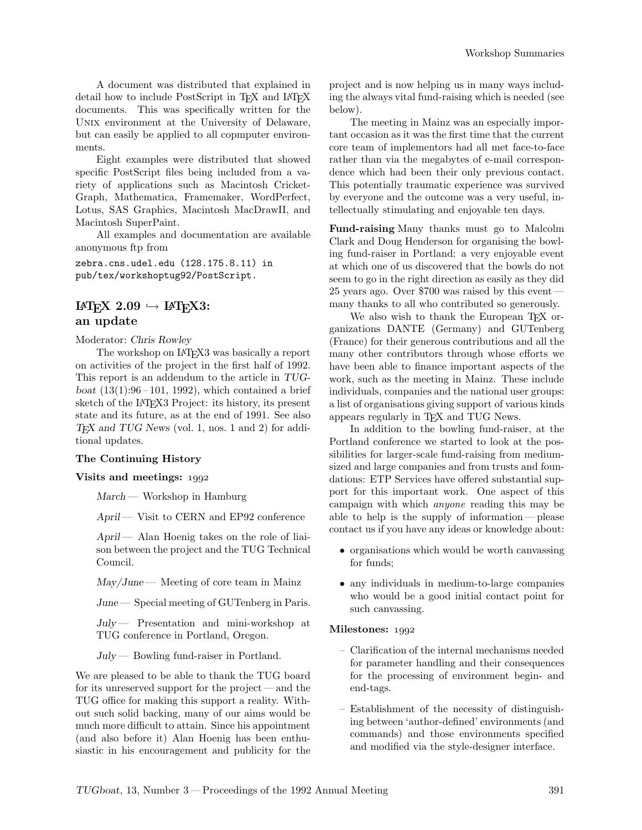A document was distributed that explained in detail how to include PostScript in TEX and IATEX documents. This was specifically written for the Unix environment at the University of Delaware, but can easily be applied to all copmputer environments.

Eight examples were distributed that showed specific PostScript files being included from a variety of applications such as Macintosh Cricket-Graph, Mathematica, Framemaker, WordPerfect, Lotus, SAS Graphics, Macintosh MacDrawII, and Macintosh SuperPaint.

All examples and documentation are available anonymous ftp from

zebra.cns.udel.edu (128.175.8.11) in pub/tex/workshoptug92/PostScript.

# $\text{LATEX } 2.09 \hookrightarrow \text{LATEX3:}$ **an update**

Moderator: *Chris Rowley*

The workshop on IATFX3 was basically a report on activities of the project in the first half of 1992. This report is an addendum to the article in *TUGboat* (13(1):96 – 101, 1992), which contained a brief sketch of the LAT<sub>EX</sub>3 Project: its history, its present state and its future, as at the end of 1991. See also *TEX and TUG News* (vol. 1, nos. 1 and 2) for additional updates.

#### **The Continuing History**

#### **Visits and meetings:**

*March—* Workshop in Hamburg

*April —* Visit to CERN and EP92 conference

*April —* Alan Hoenig takes on the role of liaison between the project and the TUG Technical Council.

*May/June—* Meeting of core team in Mainz

*June —* Special meeting of GUTenberg in Paris.

*July —* Presentation and mini-workshop at TUG conference in Portland, Oregon.

*July —* Bowling fund-raiser in Portland.

We are pleased to be able to thank the TUG board for its unreserved support for the project— and the TUG office for making this support a reality. Without such solid backing, many of our aims would be much more difficult to attain. Since his appointment (and also before it) Alan Hoenig has been enthusiastic in his encouragement and publicity for the

project and is now helping us in many ways including the always vital fund-raising which is needed (see below).

The meeting in Mainz was an especially important occasion as it was the first time that the current core team of implementors had all met face-to-face rather than via the megabytes of e-mail correspondence which had been their only previous contact. This potentially traumatic experience was survived by everyone and the outcome was a very useful, intellectually stimulating and enjoyable ten days.

**Fund-raising** Many thanks must go to Malcolm Clark and Doug Henderson for organising the bowling fund-raiser in Portland: a very enjoyable event at which one of us discovered that the bowls do not seem to go in the right direction as easily as they did 25 years ago. Over \$700 was raised by this event many thanks to all who contributed so generously.

We also wish to thank the European T<sub>EX</sub> organizations DANTE (Germany) and GUTenberg (France) for their generous contributions and all the many other contributors through whose efforts we have been able to finance important aspects of the work, such as the meeting in Mainz. These include individuals, companies and the national user groups: a list of organisations giving support of various kinds appears regularly in T<sub>EX</sub> and TUG News.

In addition to the bowling fund-raiser, at the Portland conference we started to look at the possibilities for larger-scale fund-raising from mediumsized and large companies and from trusts and foundations: ETP Services have offered substantial support for this important work. One aspect of this campaign with which *anyone* reading this may be able to help is the supply of information— please contact us if you have any ideas or knowledge about:

- organisations which would be worth canvassing for funds;
- any individuals in medium-to-large companies who would be a good initial contact point for such canvassing.

#### **Milestones:**

- Clarification of the internal mechanisms needed for parameter handling and their consequences for the processing of environment begin- and end-tags.
- Establishment of the necessity of distinguishing between 'author-defined'environments (and commands) and those environments specified and modified via the style-designer interface.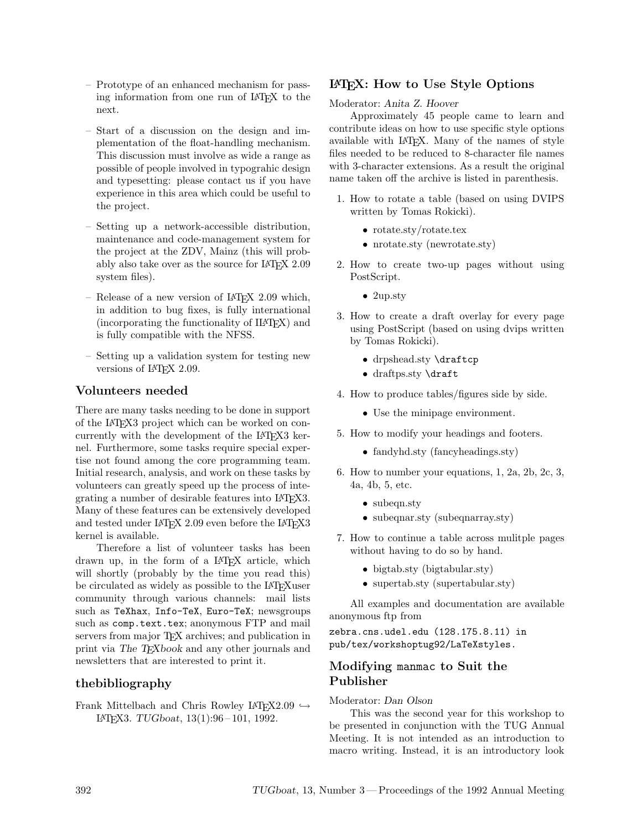- Prototype of an enhanced mechanism for passing information from one run of LATEX to the next.
- Start of a discussion on the design and implementation of the float-handling mechanism. This discussion must involve as wide a range as possible of people involved in typograhic design and typesetting: please contact us if you have experience in this area which could be useful to the project.
- Setting up a network-accessible distribution, maintenance and code-management system for the project at the ZDV, Mainz (this will probably also take over as the source for LATEX 2.09 system files).
- Release of a new version of LATEX 2.09 which, in addition to bug fixes, is fully international (incorporating the functionality of IIAT<sub>EX</sub>) and is fully compatible with the NFSS.
- Setting up a validation system for testing new versions of LAT<sub>F</sub>X 2.09.

### **Volunteers needed**

There are many tasks needing to be done in support of the LATEX3 project which can be worked on concurrently with the development of the LAT<sub>EX3</sub> kernel. Furthermore, some tasks require special expertise not found among the core programming team. Initial research, analysis, and work on these tasks by volunteers can greatly speed up the process of integrating a number of desirable features into LATEX3. Many of these features can be extensively developed and tested under LAT<sub>F</sub>X 2.09 even before the LAT<sub>F</sub>X3 kernel is available.

Therefore a list of volunteer tasks has been drawn up, in the form of a LATEX article, which will shortly (probably by the time you read this) be circulated as widely as possible to the LATEXuser community through various channels: mail lists such as TeXhax, Info-TeX, Euro-TeX; newsgroups such as comp.text.tex; anonymous FTP and mail servers from major TFX archives; and publication in print via *The TEXbook* and any other journals and newsletters that are interested to print it.

### **thebibliography**

Frank Mittelbach and Chris Rowley LAT<sub>EX2.09</sub>  $\hookrightarrow$ LATEX3. *TUGboat*, 13(1):96 – 101, 1992.

### **LATEX: How to Use Style Options**

#### Moderator: *Anita Z. Hoover*

Approximately 45 people came to learn and contribute ideas on how to use specific style options available with LATEX. Many of the names of style files needed to be reduced to 8-character file names with 3-character extensions. As a result the original name taken off the archive is listed in parenthesis.

- 1. How to rotate a table (based on using DVIPS written by Tomas Rokicki).
	- rotate.sty/rotate.tex
	- nrotate.sty (newrotate.sty)
- 2. How to create two-up pages without using PostScript.
	- 2up.stv
- 3. How to create a draft overlay for every page using PostScript (based on using dvips written by Tomas Rokicki).
	- drpshead.sty \draftcp
	- $\bullet\$  draftps.sty  $\texttt{\textbackslash}$
- 4. How to produce tables/figures side by side.
	- Use the minipage environment.
- 5. How to modify your headings and footers.
	- fandyhd.sty (fancyheadings.sty)
- 6. How to number your equations, 1, 2a, 2b, 2c, 3, 4a, 4b, 5, etc.
	- subeqn.sty
	- subequar.sty (subequarray.sty)
- 7. How to continue a table across mulitple pages without having to do so by hand.
	- bigtab.sty (bigtabular.sty)
	- supertab.sty (supertabular.sty)

All examples and documentation are available anonymous ftp from

zebra.cns.udel.edu (128.175.8.11) in pub/tex/workshoptug92/LaTeXstyles.

## **Modifying** manmac **to Suit the Publisher**

#### Moderator: *Dan Olson*

This was the second year for this workshop to be presented in conjunction with the TUG Annual Meeting. It is not intended as an introduction to macro writing. Instead, it is an introductory look